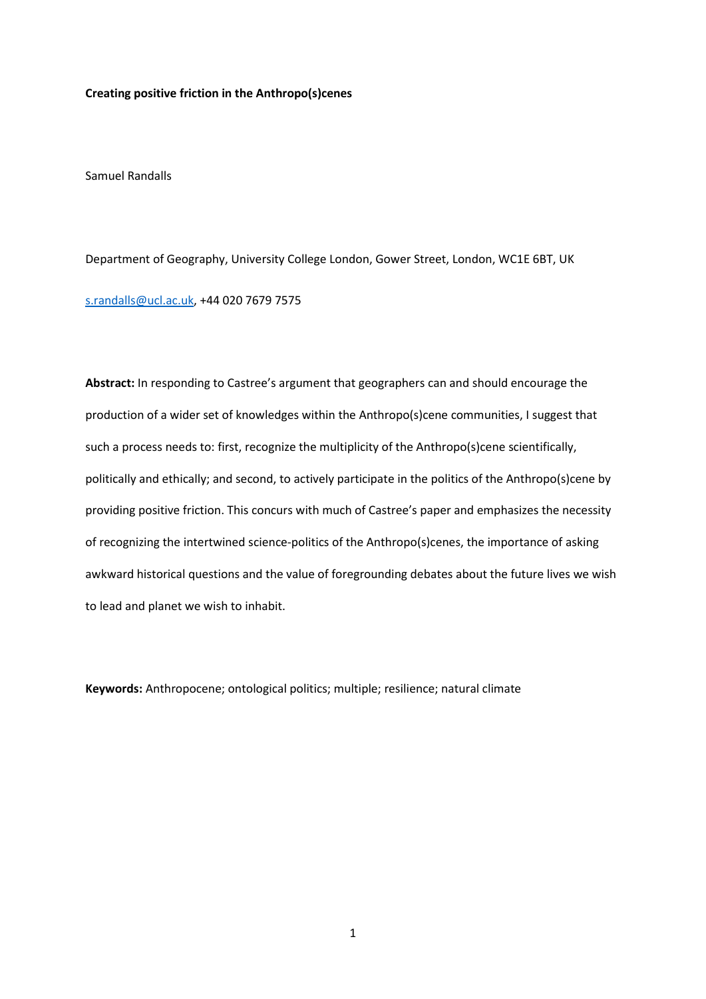**Creating positive friction in the Anthropo(s)cenes**

Samuel Randalls

Department of Geography, University College London, Gower Street, London, WC1E 6BT, UK [s.randalls@ucl.ac.uk,](mailto:s.randalls@ucl.ac.uk) +44 020 7679 7575

**Abstract:** In responding to Castree's argument that geographers can and should encourage the production of a wider set of knowledges within the Anthropo(s)cene communities, I suggest that such a process needs to: first, recognize the multiplicity of the Anthropo(s)cene scientifically, politically and ethically; and second, to actively participate in the politics of the Anthropo(s)cene by providing positive friction. This concurs with much of Castree's paper and emphasizes the necessity of recognizing the intertwined science-politics of the Anthropo(s)cenes, the importance of asking awkward historical questions and the value of foregrounding debates about the future lives we wish to lead and planet we wish to inhabit.

**Keywords:** Anthropocene; ontological politics; multiple; resilience; natural climate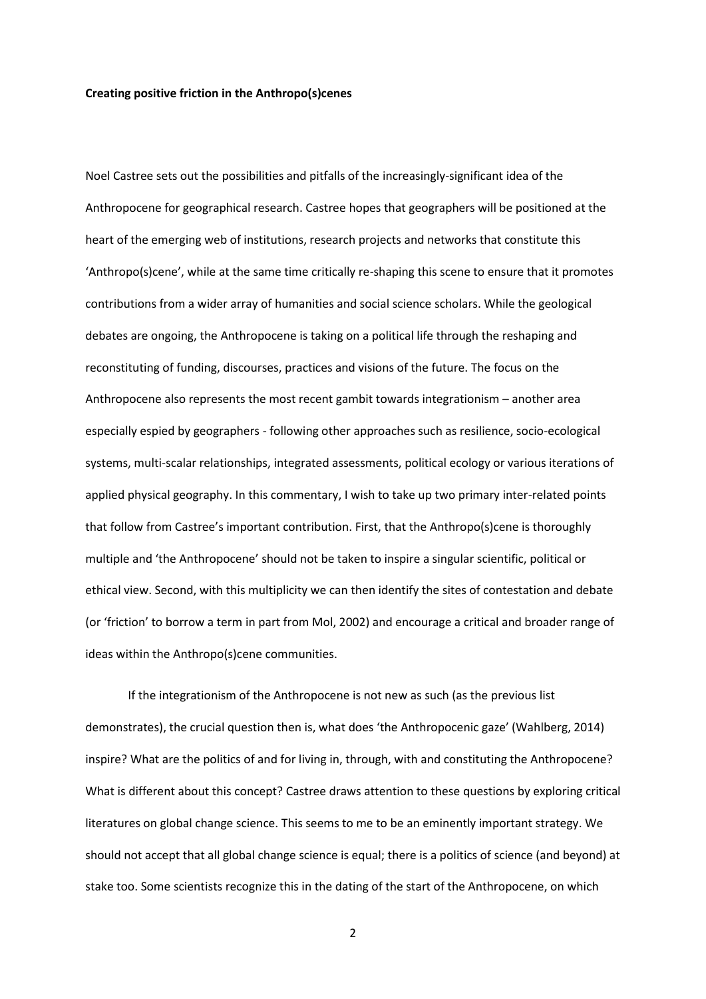## **Creating positive friction in the Anthropo(s)cenes**

Noel Castree sets out the possibilities and pitfalls of the increasingly-significant idea of the Anthropocene for geographical research. Castree hopes that geographers will be positioned at the heart of the emerging web of institutions, research projects and networks that constitute this 'Anthropo(s)cene', while at the same time critically re-shaping this scene to ensure that it promotes contributions from a wider array of humanities and social science scholars. While the geological debates are ongoing, the Anthropocene is taking on a political life through the reshaping and reconstituting of funding, discourses, practices and visions of the future. The focus on the Anthropocene also represents the most recent gambit towards integrationism – another area especially espied by geographers - following other approaches such as resilience, socio-ecological systems, multi-scalar relationships, integrated assessments, political ecology or various iterations of applied physical geography. In this commentary, I wish to take up two primary inter-related points that follow from Castree's important contribution. First, that the Anthropo(s)cene is thoroughly multiple and 'the Anthropocene' should not be taken to inspire a singular scientific, political or ethical view. Second, with this multiplicity we can then identify the sites of contestation and debate (or 'friction' to borrow a term in part from Mol, 2002) and encourage a critical and broader range of ideas within the Anthropo(s)cene communities.

If the integrationism of the Anthropocene is not new as such (as the previous list demonstrates), the crucial question then is, what does 'the Anthropocenic gaze' (Wahlberg, 2014) inspire? What are the politics of and for living in, through, with and constituting the Anthropocene? What is different about this concept? Castree draws attention to these questions by exploring critical literatures on global change science. This seems to me to be an eminently important strategy. We should not accept that all global change science is equal; there is a politics of science (and beyond) at stake too. Some scientists recognize this in the dating of the start of the Anthropocene, on which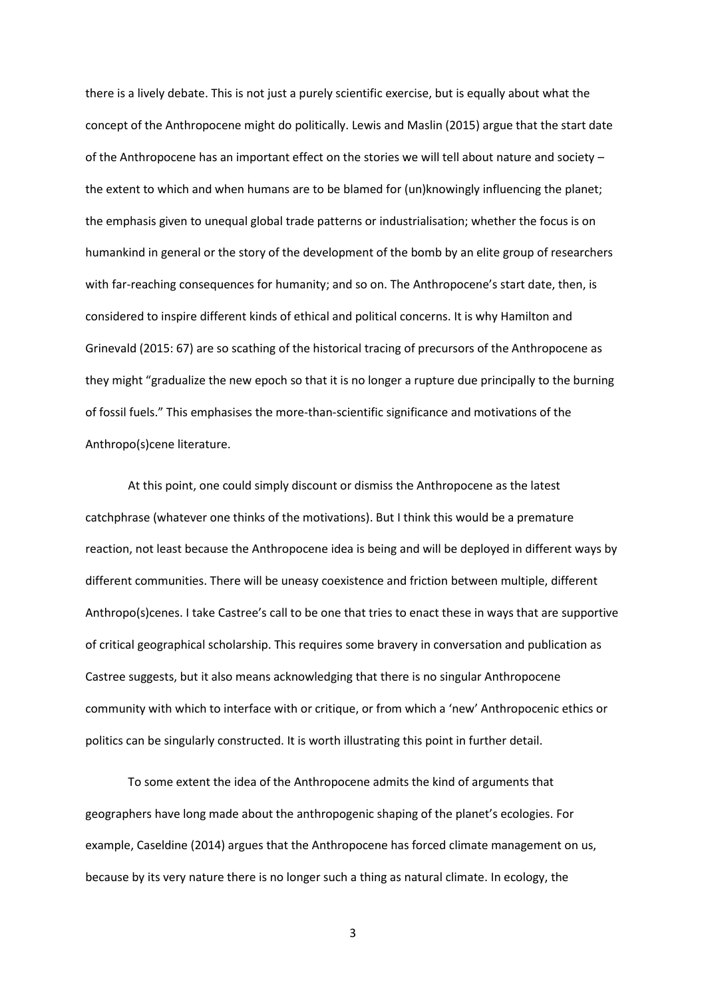there is a lively debate. This is not just a purely scientific exercise, but is equally about what the concept of the Anthropocene might do politically. Lewis and Maslin (2015) argue that the start date of the Anthropocene has an important effect on the stories we will tell about nature and society – the extent to which and when humans are to be blamed for (un)knowingly influencing the planet; the emphasis given to unequal global trade patterns or industrialisation; whether the focus is on humankind in general or the story of the development of the bomb by an elite group of researchers with far-reaching consequences for humanity; and so on. The Anthropocene's start date, then, is considered to inspire different kinds of ethical and political concerns. It is why Hamilton and Grinevald (2015: 67) are so scathing of the historical tracing of precursors of the Anthropocene as they might "gradualize the new epoch so that it is no longer a rupture due principally to the burning of fossil fuels." This emphasises the more-than-scientific significance and motivations of the Anthropo(s)cene literature.

At this point, one could simply discount or dismiss the Anthropocene as the latest catchphrase (whatever one thinks of the motivations). But I think this would be a premature reaction, not least because the Anthropocene idea is being and will be deployed in different ways by different communities. There will be uneasy coexistence and friction between multiple, different Anthropo(s)cenes. I take Castree's call to be one that tries to enact these in ways that are supportive of critical geographical scholarship. This requires some bravery in conversation and publication as Castree suggests, but it also means acknowledging that there is no singular Anthropocene community with which to interface with or critique, or from which a 'new' Anthropocenic ethics or politics can be singularly constructed. It is worth illustrating this point in further detail.

To some extent the idea of the Anthropocene admits the kind of arguments that geographers have long made about the anthropogenic shaping of the planet's ecologies. For example, Caseldine (2014) argues that the Anthropocene has forced climate management on us, because by its very nature there is no longer such a thing as natural climate. In ecology, the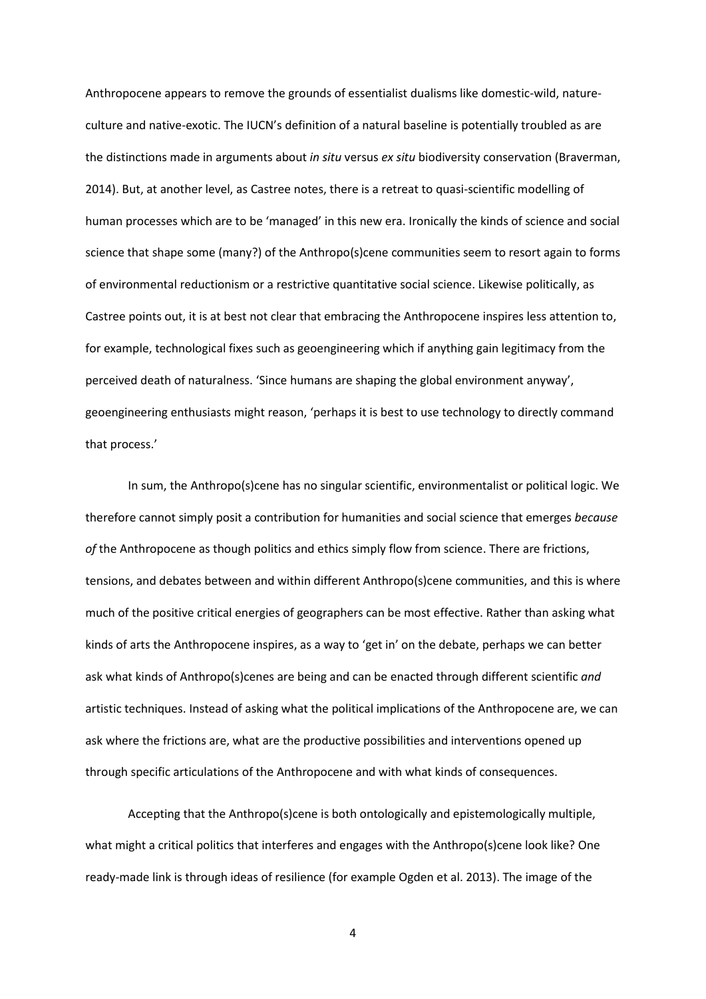Anthropocene appears to remove the grounds of essentialist dualisms like domestic-wild, natureculture and native-exotic. The IUCN's definition of a natural baseline is potentially troubled as are the distinctions made in arguments about *in situ* versus *ex situ* biodiversity conservation (Braverman, 2014). But, at another level, as Castree notes, there is a retreat to quasi-scientific modelling of human processes which are to be 'managed' in this new era. Ironically the kinds of science and social science that shape some (many?) of the Anthropo(s)cene communities seem to resort again to forms of environmental reductionism or a restrictive quantitative social science. Likewise politically, as Castree points out, it is at best not clear that embracing the Anthropocene inspires less attention to, for example, technological fixes such as geoengineering which if anything gain legitimacy from the perceived death of naturalness. 'Since humans are shaping the global environment anyway', geoengineering enthusiasts might reason, 'perhaps it is best to use technology to directly command that process.'

In sum, the Anthropo(s)cene has no singular scientific, environmentalist or political logic. We therefore cannot simply posit a contribution for humanities and social science that emerges *because of* the Anthropocene as though politics and ethics simply flow from science. There are frictions, tensions, and debates between and within different Anthropo(s)cene communities, and this is where much of the positive critical energies of geographers can be most effective. Rather than asking what kinds of arts the Anthropocene inspires, as a way to 'get in' on the debate, perhaps we can better ask what kinds of Anthropo(s)cenes are being and can be enacted through different scientific *and* artistic techniques. Instead of asking what the political implications of the Anthropocene are, we can ask where the frictions are, what are the productive possibilities and interventions opened up through specific articulations of the Anthropocene and with what kinds of consequences.

Accepting that the Anthropo(s)cene is both ontologically and epistemologically multiple, what might a critical politics that interferes and engages with the Anthropo(s)cene look like? One ready-made link is through ideas of resilience (for example Ogden et al. 2013). The image of the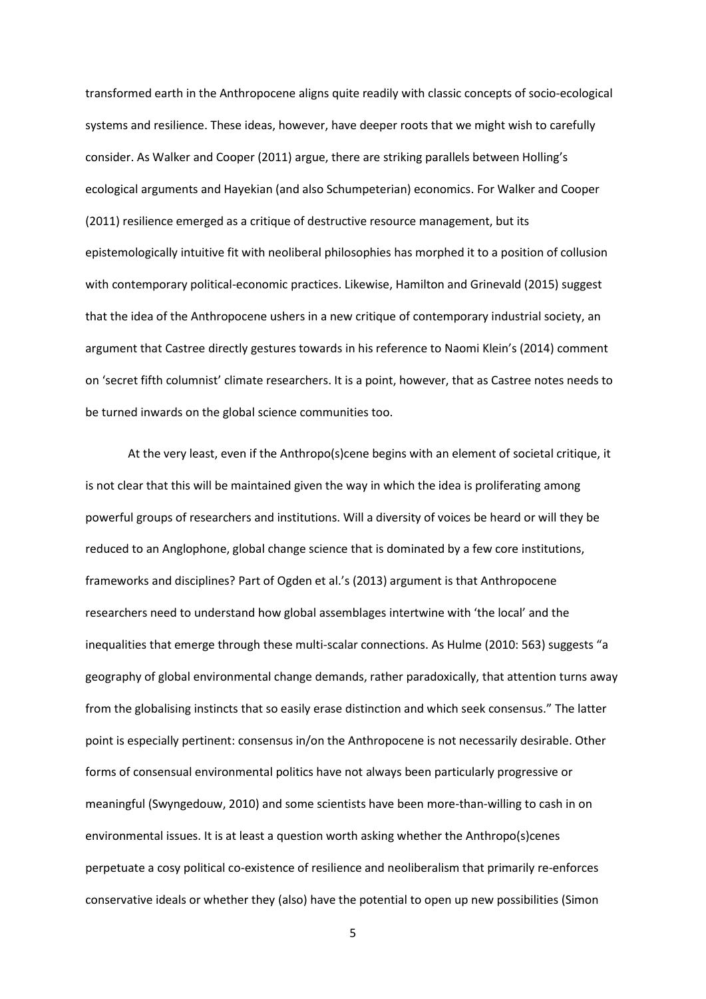transformed earth in the Anthropocene aligns quite readily with classic concepts of socio-ecological systems and resilience. These ideas, however, have deeper roots that we might wish to carefully consider. As Walker and Cooper (2011) argue, there are striking parallels between Holling's ecological arguments and Hayekian (and also Schumpeterian) economics. For Walker and Cooper (2011) resilience emerged as a critique of destructive resource management, but its epistemologically intuitive fit with neoliberal philosophies has morphed it to a position of collusion with contemporary political-economic practices. Likewise, Hamilton and Grinevald (2015) suggest that the idea of the Anthropocene ushers in a new critique of contemporary industrial society, an argument that Castree directly gestures towards in his reference to Naomi Klein's (2014) comment on 'secret fifth columnist' climate researchers. It is a point, however, that as Castree notes needs to be turned inwards on the global science communities too.

At the very least, even if the Anthropo(s)cene begins with an element of societal critique, it is not clear that this will be maintained given the way in which the idea is proliferating among powerful groups of researchers and institutions. Will a diversity of voices be heard or will they be reduced to an Anglophone, global change science that is dominated by a few core institutions, frameworks and disciplines? Part of Ogden et al.'s (2013) argument is that Anthropocene researchers need to understand how global assemblages intertwine with 'the local' and the inequalities that emerge through these multi-scalar connections. As Hulme (2010: 563) suggests "a geography of global environmental change demands, rather paradoxically, that attention turns away from the globalising instincts that so easily erase distinction and which seek consensus." The latter point is especially pertinent: consensus in/on the Anthropocene is not necessarily desirable. Other forms of consensual environmental politics have not always been particularly progressive or meaningful (Swyngedouw, 2010) and some scientists have been more-than-willing to cash in on environmental issues. It is at least a question worth asking whether the Anthropo(s)cenes perpetuate a cosy political co-existence of resilience and neoliberalism that primarily re-enforces conservative ideals or whether they (also) have the potential to open up new possibilities (Simon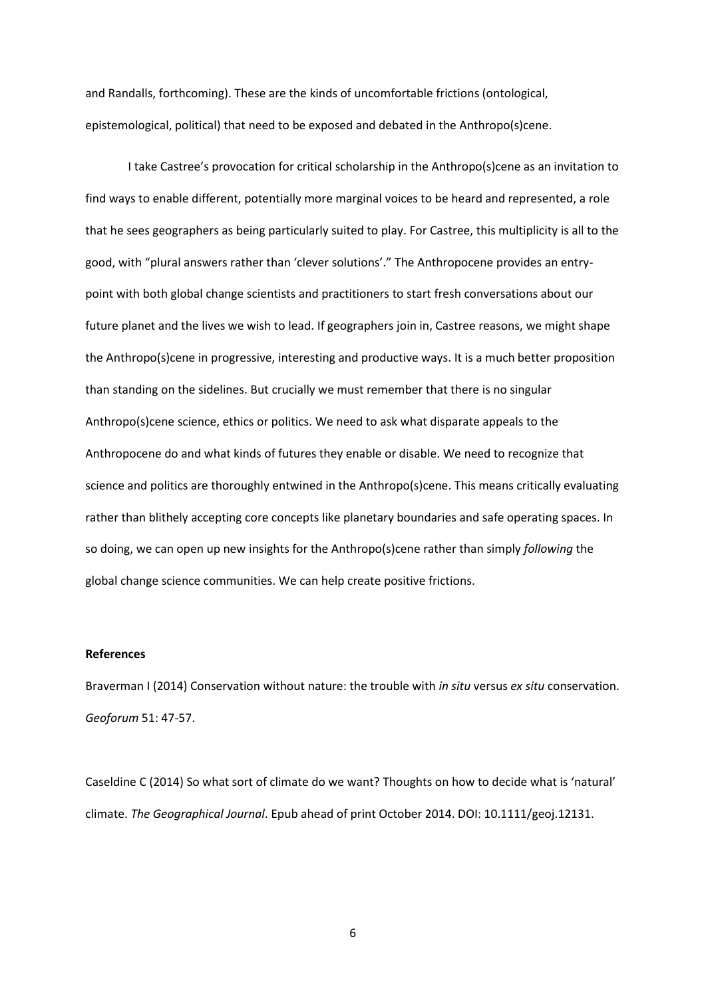and Randalls, forthcoming). These are the kinds of uncomfortable frictions (ontological, epistemological, political) that need to be exposed and debated in the Anthropo(s)cene.

I take Castree's provocation for critical scholarship in the Anthropo(s)cene as an invitation to find ways to enable different, potentially more marginal voices to be heard and represented, a role that he sees geographers as being particularly suited to play. For Castree, this multiplicity is all to the good, with "plural answers rather than 'clever solutions'." The Anthropocene provides an entrypoint with both global change scientists and practitioners to start fresh conversations about our future planet and the lives we wish to lead. If geographers join in, Castree reasons, we might shape the Anthropo(s)cene in progressive, interesting and productive ways. It is a much better proposition than standing on the sidelines. But crucially we must remember that there is no singular Anthropo(s)cene science, ethics or politics. We need to ask what disparate appeals to the Anthropocene do and what kinds of futures they enable or disable. We need to recognize that science and politics are thoroughly entwined in the Anthropo(s)cene. This means critically evaluating rather than blithely accepting core concepts like planetary boundaries and safe operating spaces. In so doing, we can open up new insights for the Anthropo(s)cene rather than simply *following* the global change science communities. We can help create positive frictions.

## **References**

Braverman I (2014) Conservation without nature: the trouble with *in situ* versus *ex situ* conservation. *Geoforum* 51: 47-57.

Caseldine C (2014) So what sort of climate do we want? Thoughts on how to decide what is 'natural' climate. *The Geographical Journal*. Epub ahead of print October 2014. DOI: 10.1111/geoj.12131.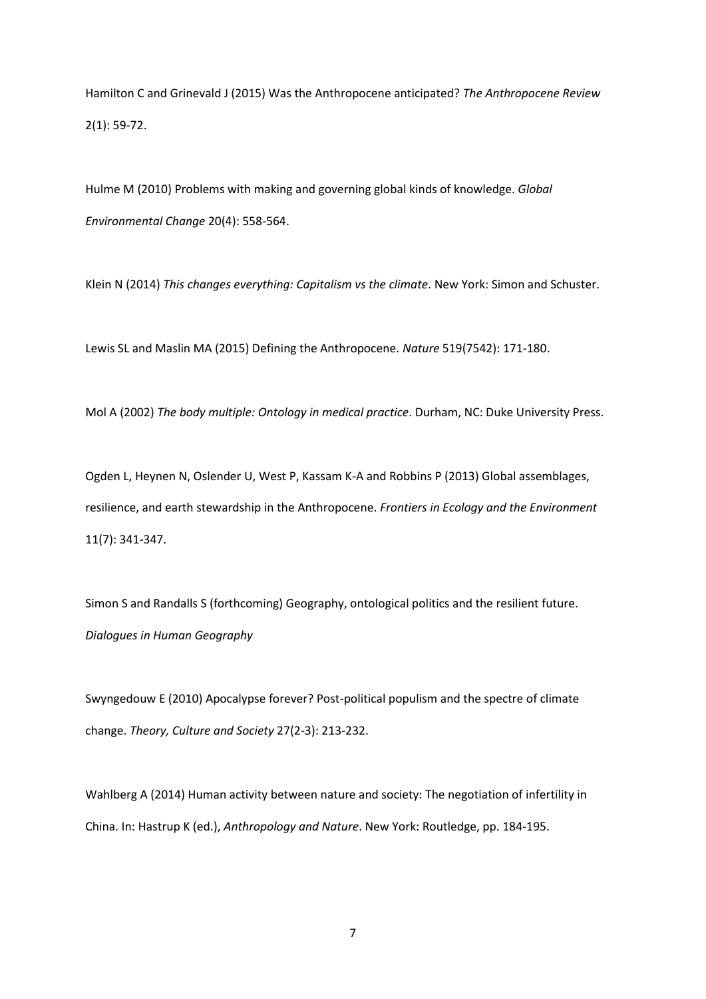Hamilton C and Grinevald J (2015) Was the Anthropocene anticipated? *The Anthropocene Review*  2(1): 59-72.

Hulme M (2010) Problems with making and governing global kinds of knowledge. *Global Environmental Change* 20(4): 558-564.

Klein N (2014) *This changes everything: Capitalism vs the climate*. New York: Simon and Schuster.

Lewis SL and Maslin MA (2015) Defining the Anthropocene. *Nature* 519(7542): 171-180.

Mol A (2002) *The body multiple: Ontology in medical practice*. Durham, NC: Duke University Press.

Ogden L, Heynen N, Oslender U, West P, Kassam K-A and Robbins P (2013) Global assemblages, resilience, and earth stewardship in the Anthropocene. *Frontiers in Ecology and the Environment*  11(7): 341-347.

Simon S and Randalls S (forthcoming) Geography, ontological politics and the resilient future. *Dialogues in Human Geography*

Swyngedouw E (2010) Apocalypse forever? Post-political populism and the spectre of climate change. *Theory, Culture and Society* 27(2-3): 213-232.

Wahlberg A (2014) Human activity between nature and society: The negotiation of infertility in China. In: Hastrup K (ed.), *Anthropology and Nature*. New York: Routledge, pp. 184-195.